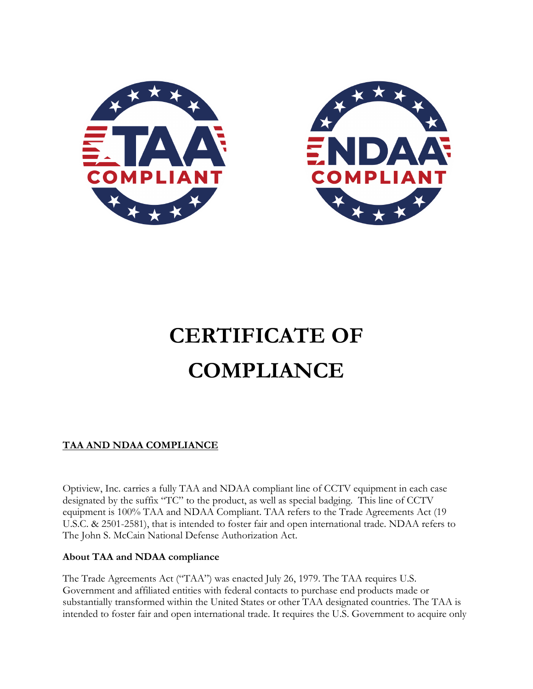



# **CERTIFICATE OF COMPLIANCE**

# **TAA AND NDAA COMPLIANCE**

Optiview, Inc. carries a fully TAA and NDAA compliant line of CCTV equipment in each case designated by the suffix "TC" to the product, as well as special badging. This line of CCTV equipment is 100% TAA and NDAA Compliant. TAA refers to the Trade Agreements Act (19 U.S.C. & 2501-2581), that is intended to foster fair and open international trade. NDAA refers to The John S. McCain National Defense Authorization Act.

#### **About TAA and NDAA compliance**

The Trade Agreements Act ("TAA") was enacted July 26, 1979. The TAA requires U.S. Government and affiliated entities with federal contacts to purchase end products made or substantially transformed within the United States or other TAA designated countries. The TAA is intended to foster fair and open international trade. It requires the U.S. Government to acquire only